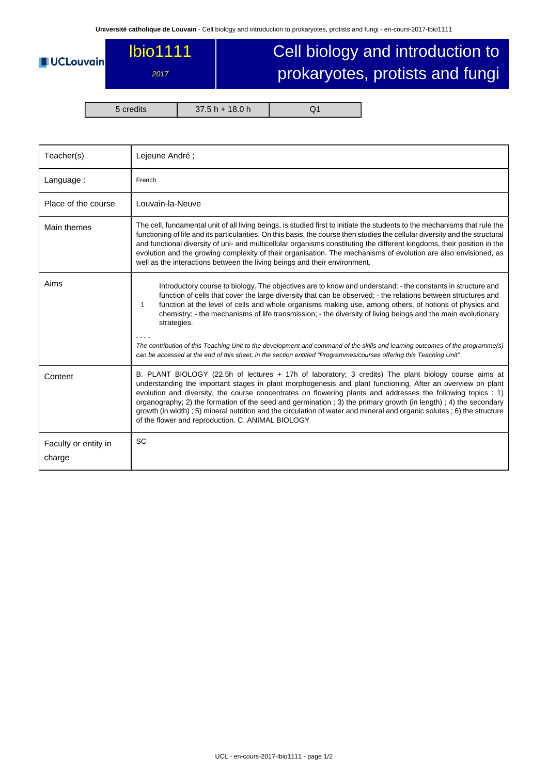## lbio1111

## **UCLouvain**

2017

## Cell biology and introduction to prokaryotes, protists and fungi

5 credits 37.5 h + 18.0 h Q1

| Teacher(s)                     | Lejeune André;                                                                                                                                                                                                                                                                                                                                                                                                                                                                                                                                                                                                                        |  |  |  |
|--------------------------------|---------------------------------------------------------------------------------------------------------------------------------------------------------------------------------------------------------------------------------------------------------------------------------------------------------------------------------------------------------------------------------------------------------------------------------------------------------------------------------------------------------------------------------------------------------------------------------------------------------------------------------------|--|--|--|
| Language:                      | French                                                                                                                                                                                                                                                                                                                                                                                                                                                                                                                                                                                                                                |  |  |  |
| Place of the course            | Louvain-la-Neuve                                                                                                                                                                                                                                                                                                                                                                                                                                                                                                                                                                                                                      |  |  |  |
| Main themes                    | The cell, fundamental unit of all living beings, is studied first to initiate the students to the mechanisms that rule the<br>functioning of life and its particularities. On this basis, the course then studies the cellular diversity and the structural<br>and functional diversity of uni- and multicellular organisms constituting the different kingdoms, their position in the<br>evolution and the growing complexity of their organisation. The mechanisms of evolution are also envisioned, as<br>well as the interactions between the living beings and their environment.                                                |  |  |  |
| Aims                           | Introductory course to biology. The objectives are to know and understand: - the constants in structure and<br>function of cells that cover the large diversity that can be observed; - the relations between structures and<br>function at the level of cells and whole organisms making use, among others, of notions of physics and<br>$\mathbf{1}$<br>chemistry; - the mechanisms of life transmission; - the diversity of living beings and the main evolutionary<br>strategies.                                                                                                                                                 |  |  |  |
|                                | The contribution of this Teaching Unit to the development and command of the skills and learning outcomes of the programme(s)<br>can be accessed at the end of this sheet, in the section entitled "Programmes/courses offering this Teaching Unit".                                                                                                                                                                                                                                                                                                                                                                                  |  |  |  |
| Content                        | B. PLANT BIOLOGY (22.5h of lectures + 17h of laboratory; 3 credits) The plant biology course aims at<br>understanding the important stages in plant morphogenesis and plant functioning. After an overview on plant<br>evolution and diversity, the course concentrates on flowering plants and addresses the following topics : 1)<br>organography; 2) the formation of the seed and germination; 3) the primary growth (in length); 4) the secondary<br>growth (in width); 5) mineral nutrition and the circulation of water and mineral and organic solutes; 6) the structure<br>of the flower and reproduction. C. ANIMAL BIOLOGY |  |  |  |
| Faculty or entity in<br>charge | <b>SC</b>                                                                                                                                                                                                                                                                                                                                                                                                                                                                                                                                                                                                                             |  |  |  |